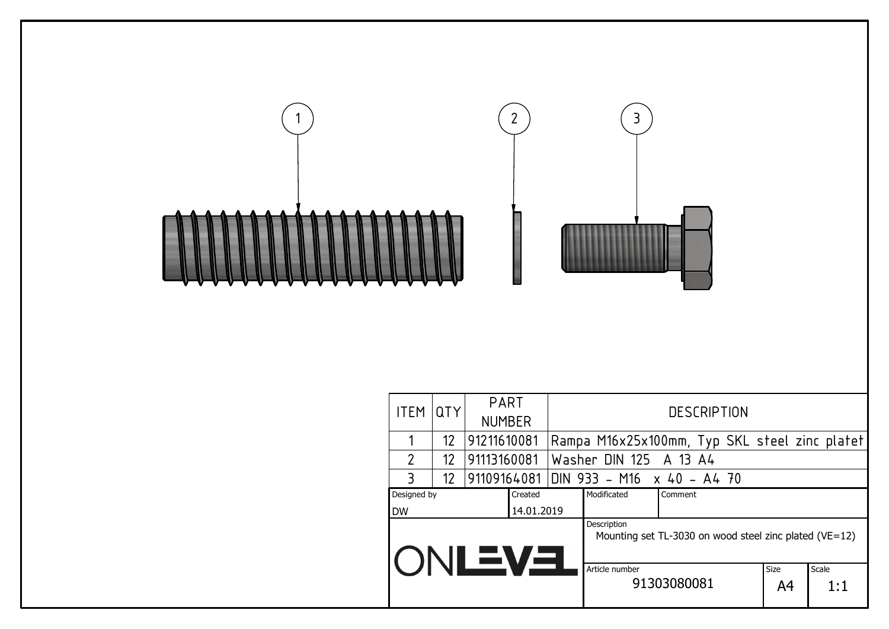|                |     | $\overline{2}$        | 3                                                                     |            |              |
|----------------|-----|-----------------------|-----------------------------------------------------------------------|------------|--------------|
| <b>ITEM</b>    | QTY | PART<br><b>NUMBER</b> | <b>DESCRIPTION</b>                                                    |            |              |
| 1              | 12  | 91211610081           | Rampa M16x25x100mm, Typ SKL steel zinc platet                         |            |              |
| $\overline{2}$ | 12  | 91113160081           | Washer DIN 125<br>A 13 A4                                             |            |              |
| 3              | 12  | 91109164081           | DIN 933 - M16 x 40 - A4 70                                            |            |              |
| Designed by    |     | Created               | Modificated<br>Comment                                                |            |              |
| DW             |     | 14.01.2019            | Description<br>Mounting set TL-3030 on wood steel zinc plated (VE=12) |            |              |
|                |     | <b>EVEJNC</b>         | Article number<br>91303080081                                         | Size<br>A4 | Scale<br>1:1 |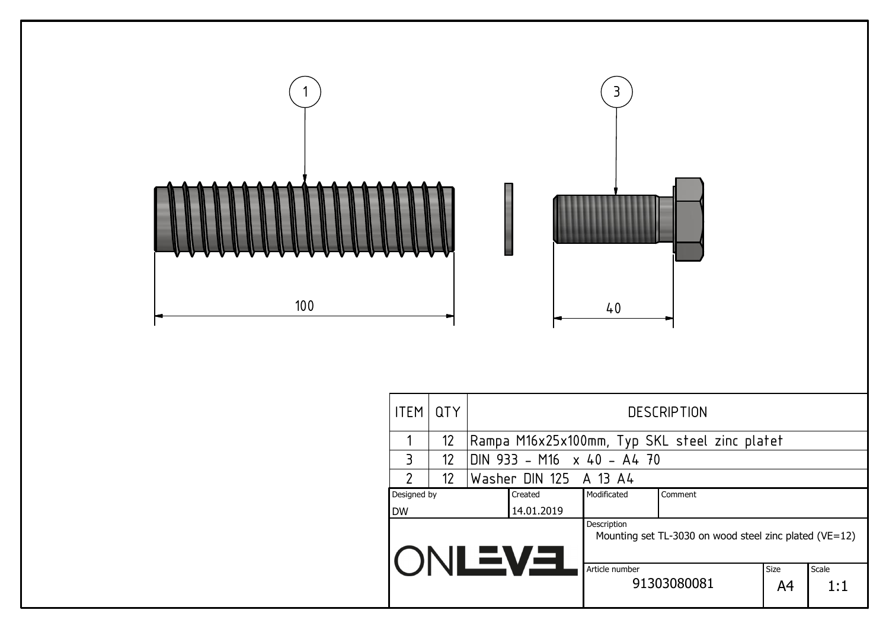

| <b>ITEM</b>    | <b>QTY</b>      | <b>DESCRIPTION</b>     |                            |                                                            |                   |              |  |  |  |
|----------------|-----------------|------------------------|----------------------------|------------------------------------------------------------|-------------------|--------------|--|--|--|
|                | 12              |                        |                            | Rampa M16x25x100mm, Typ SKL steel zinc platet              |                   |              |  |  |  |
| 3              | 12              |                        | DIN 933 - M16 x 40 - A4 70 |                                                            |                   |              |  |  |  |
| $\overline{2}$ | 12 <sup>2</sup> | Washer DIN 125 A 13 A4 |                            |                                                            |                   |              |  |  |  |
| Designed by    |                 | Created                | Modificated                | Comment                                                    |                   |              |  |  |  |
| <b>DW</b>      |                 | 14.01.2019             |                            |                                                            |                   |              |  |  |  |
|                |                 | <b>ONLEVER</b>         | Description                | Mounting set TL-3030 on wood steel zinc plated ( $VE=12$ ) |                   |              |  |  |  |
|                |                 |                        | Article number             | 91303080081                                                | <b>Size</b><br>A4 | Scale<br>1:1 |  |  |  |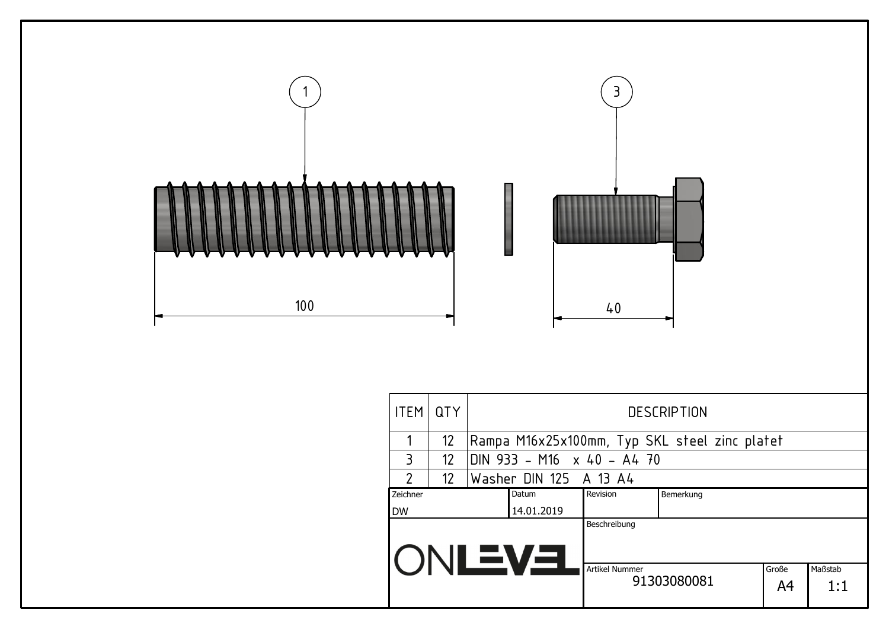

| 11 L I I I    | <b>ULI</b>                     |  | DLJLINI TIUN                                  |                       |             |             |                |  |  |  |  |
|---------------|--------------------------------|--|-----------------------------------------------|-----------------------|-------------|-------------|----------------|--|--|--|--|
|               | 12 <sup>2</sup>                |  | Rampa M16x25x100mm, Typ SKL steel zinc platet |                       |             |             |                |  |  |  |  |
| 3             | 12                             |  | DIN 933 - M16 x 40 - A4 70                    |                       |             |             |                |  |  |  |  |
| $\mathcal{P}$ | 12                             |  | Washer DIN 125 A 13 A4                        |                       |             |             |                |  |  |  |  |
| Zeichner      | Revision<br>Datum<br>Bemerkung |  |                                               |                       |             |             |                |  |  |  |  |
| <b>DW</b>     |                                |  | 14.01.2019                                    |                       |             |             |                |  |  |  |  |
|               |                                |  | IONLEVEL                                      | Beschreibung          |             |             |                |  |  |  |  |
|               |                                |  |                                               | <b>Artikel Nummer</b> | 91303080081 | Große<br>A4 | Maßstab<br>1:1 |  |  |  |  |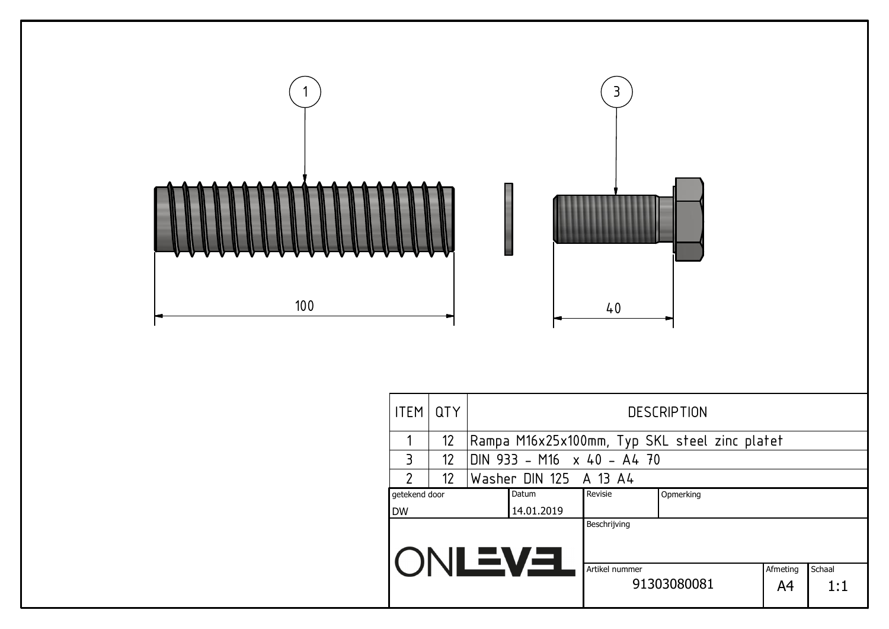

| <b>ITEM</b>                                                       | <b>QTY</b>        | <b>DESCRIPTION</b> |                        |                            |                                               |  |  |  |  |  |
|-------------------------------------------------------------------|-------------------|--------------------|------------------------|----------------------------|-----------------------------------------------|--|--|--|--|--|
|                                                                   | $12 \overline{ }$ |                    |                        |                            | Rampa M16x25x100mm, Typ SKL steel zinc platet |  |  |  |  |  |
| 3                                                                 | 12 <sup>2</sup>   |                    |                        | DIN 933 - M16 x 40 - A4 70 |                                               |  |  |  |  |  |
| $\overline{2}$                                                    | 12 <sup>2</sup>   |                    | Washer DIN 125 A 13 A4 |                            |                                               |  |  |  |  |  |
| Datum<br>getekend door                                            |                   |                    |                        | Revisie                    | Opmerking                                     |  |  |  |  |  |
| <b>DW</b>                                                         |                   |                    | 14.01.2019             |                            |                                               |  |  |  |  |  |
|                                                                   |                   |                    |                        | Beschrijving               |                                               |  |  |  |  |  |
| <b>ONLEVEL</b><br>Artikel nummer<br>Afmeting<br>91303080081<br>A4 |                   |                    |                        |                            | Schaal<br>1:1                                 |  |  |  |  |  |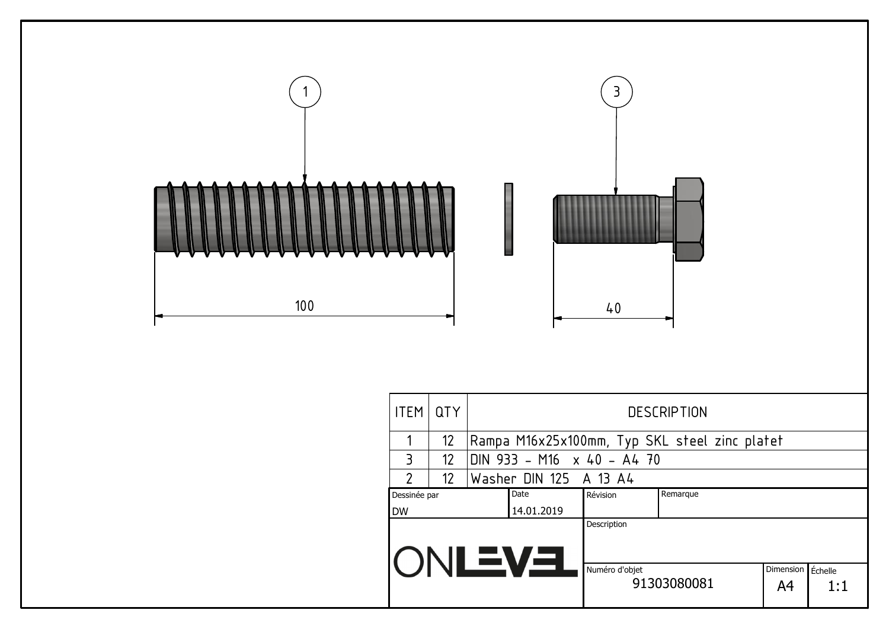

| <b>ITEM</b>       | <b>QTY</b> |  | <b>DESCRIPTION</b>                            |                               |  |           |         |  |  |  |  |
|-------------------|------------|--|-----------------------------------------------|-------------------------------|--|-----------|---------|--|--|--|--|
|                   | 12         |  | Rampa M16x25x100mm, Typ SKL steel zinc platet |                               |  |           |         |  |  |  |  |
| $\overline{3}$    | 12         |  | DIN 933 - M16 x 40 - A4 70                    |                               |  |           |         |  |  |  |  |
| $\mathcal{P}$     | 12         |  | Washer DIN 125 A 13 A4                        |                               |  |           |         |  |  |  |  |
| Dessinée par      |            |  | Date                                          | Remarque<br>Révision          |  |           |         |  |  |  |  |
| <b>DW</b>         |            |  | 14.01.2019                                    |                               |  |           |         |  |  |  |  |
|                   |            |  | <b>IONLEVEL</b>                               | Description<br>Numéro d'objet |  | Dimension | Échelle |  |  |  |  |
| 91303080081<br>A4 |            |  |                                               |                               |  | 1:1       |         |  |  |  |  |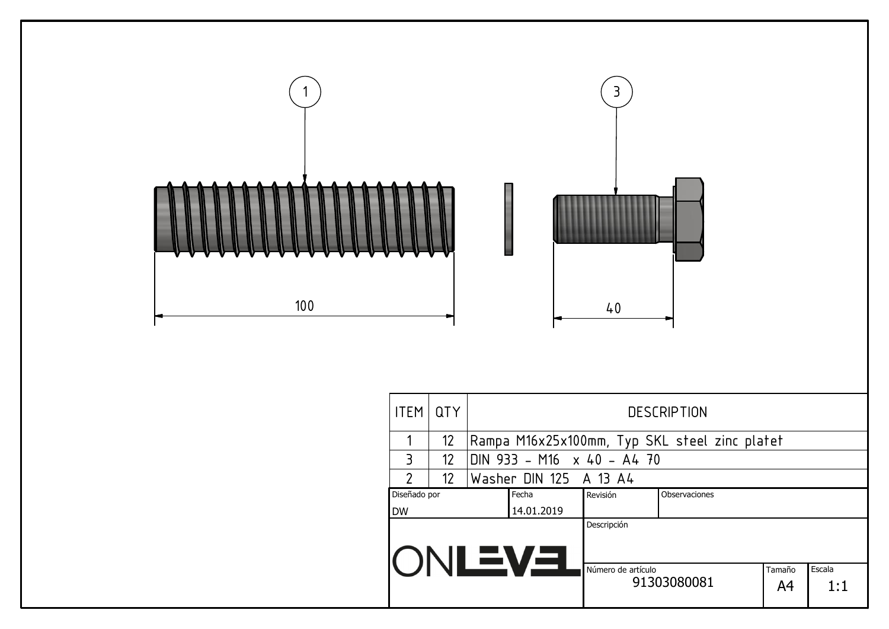

| IIEM I UI Y           |                 |  | <b>DESCRIPTION</b>                            |                            |               |              |               |  |  |  |  |
|-----------------------|-----------------|--|-----------------------------------------------|----------------------------|---------------|--------------|---------------|--|--|--|--|
|                       | 12 <sup>2</sup> |  | Rampa M16x25x100mm, Typ SKL steel zinc platet |                            |               |              |               |  |  |  |  |
| $\overline{3}$        | 12 <sup>2</sup> |  |                                               | DIN 933 - M16 x 40 - A4 70 |               |              |               |  |  |  |  |
| $\mathfrak{p}$        | 12 <sup>2</sup> |  | Washer DIN 125 A 13 A4                        |                            |               |              |               |  |  |  |  |
| Diseñado por<br>Fecha |                 |  |                                               | Revisión                   | Observaciones |              |               |  |  |  |  |
| <b>DW</b>             |                 |  | 14.01.2019                                    |                            |               |              |               |  |  |  |  |
| ()                    |                 |  |                                               | Descripción                |               |              |               |  |  |  |  |
| NLEVEL                |                 |  |                                               | Número de artículo         | 91303080081   | Tamaño<br>A4 | Escala<br>1:1 |  |  |  |  |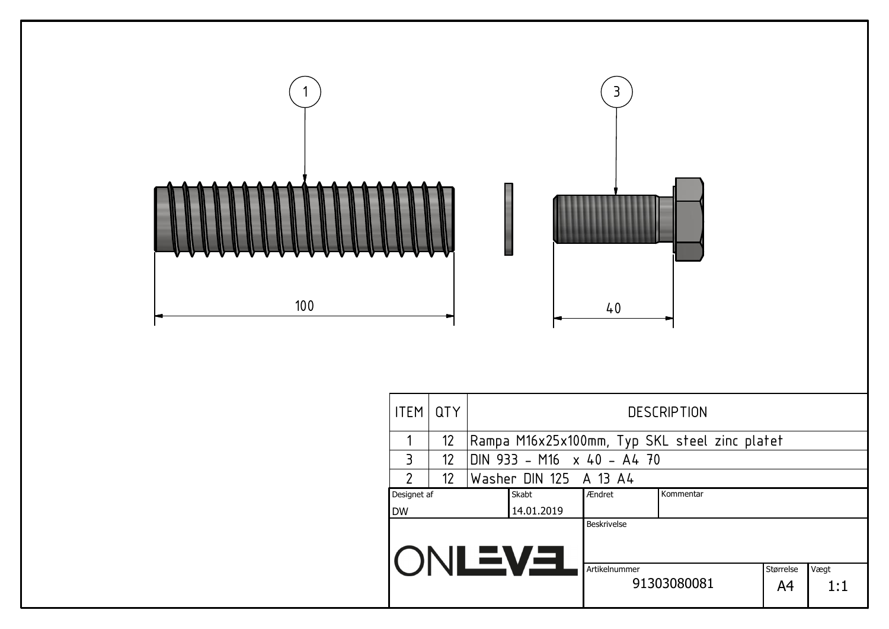

| <b>ITEM</b>                                             | <b>QTY</b>      | <b>DESCRIPTION</b> |                        |                                   |                                               |  |  |  |  |  |
|---------------------------------------------------------|-----------------|--------------------|------------------------|-----------------------------------|-----------------------------------------------|--|--|--|--|--|
|                                                         | 12              |                    |                        |                                   | Rampa M16x25x100mm, Typ SKL steel zinc platet |  |  |  |  |  |
| 3                                                       | 12 <sup>°</sup> |                    |                        | DIN 933 - M16 $\times$ 40 - A4 70 |                                               |  |  |  |  |  |
| $\overline{2}$                                          | 12              |                    | Washer DIN 125 A 13 A4 |                                   |                                               |  |  |  |  |  |
| Skabt<br>Designet af                                    |                 |                    |                        | Ændret                            | Kommentar                                     |  |  |  |  |  |
| <b>DW</b>                                               |                 |                    | 14.01.2019             |                                   |                                               |  |  |  |  |  |
| <b>ONLEVEL</b>                                          |                 |                    |                        | <b>Beskrivelse</b>                |                                               |  |  |  |  |  |
| Artikelnummer<br>Vægt<br>Størrelse<br>91303080081<br>A4 |                 |                    |                        |                                   | 1:1                                           |  |  |  |  |  |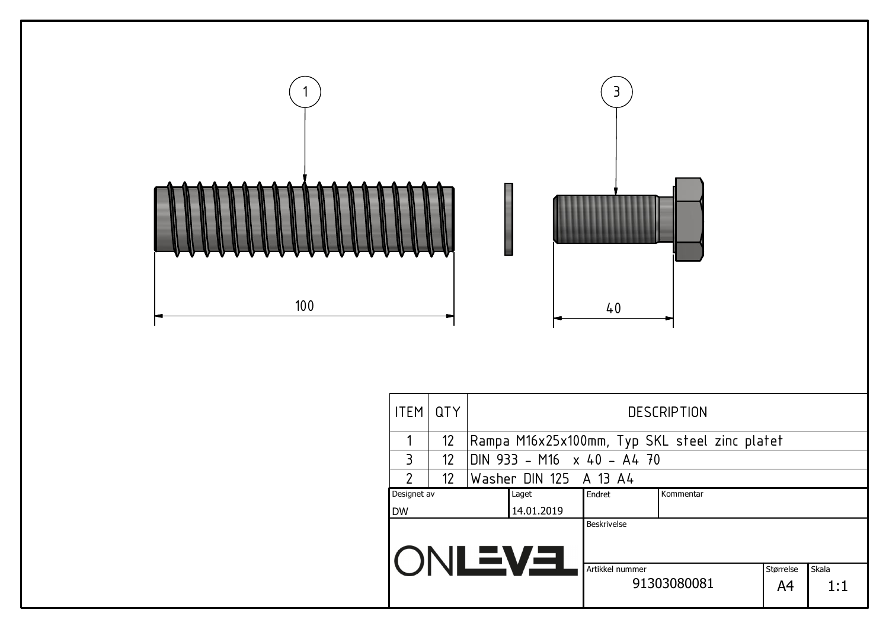

| <b>ITEM</b>          | <b>QTY</b>        |  | <b>DESCRIPTION</b>     |                                                                   |                                               |  |  |  |  |  |  |
|----------------------|-------------------|--|------------------------|-------------------------------------------------------------------|-----------------------------------------------|--|--|--|--|--|--|
|                      | 12                |  |                        |                                                                   | Rampa M16x25x100mm, Typ SKL steel zinc platet |  |  |  |  |  |  |
| $\overline{3}$       | $12 \overline{ }$ |  |                        | DIN 933 - M16 $\times$ 40 - A4 70                                 |                                               |  |  |  |  |  |  |
| $\mathfrak{p}$       | 12                |  | Washer DIN 125 A 13 A4 |                                                                   |                                               |  |  |  |  |  |  |
| Designet av<br>Laget |                   |  |                        | Endret                                                            | Kommentar                                     |  |  |  |  |  |  |
| <b>DW</b>            |                   |  | 14.01.2019             |                                                                   |                                               |  |  |  |  |  |  |
|                      |                   |  | IONLEVEL               | <b>Beskrivelse</b>                                                |                                               |  |  |  |  |  |  |
|                      |                   |  |                        | Skala<br>Artikkel nummer<br>Størrelse<br>91303080081<br>A4<br>1:1 |                                               |  |  |  |  |  |  |